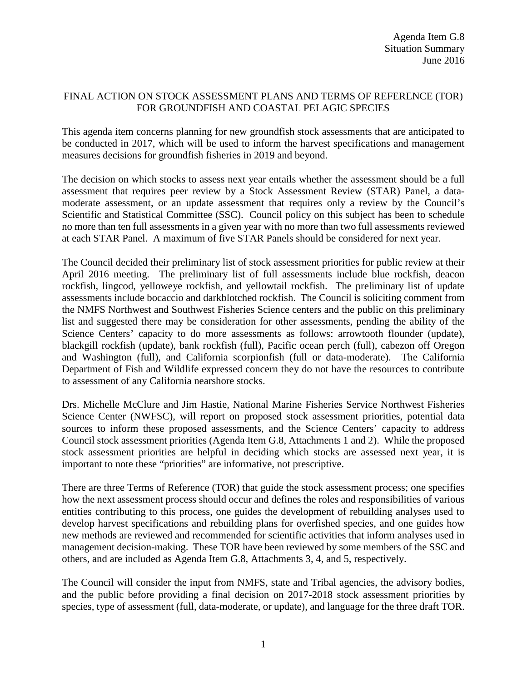## FINAL ACTION ON STOCK ASSESSMENT PLANS AND TERMS OF REFERENCE (TOR) FOR GROUNDFISH AND COASTAL PELAGIC SPECIES

This agenda item concerns planning for new groundfish stock assessments that are anticipated to be conducted in 2017, which will be used to inform the harvest specifications and management measures decisions for groundfish fisheries in 2019 and beyond.

The decision on which stocks to assess next year entails whether the assessment should be a full assessment that requires peer review by a Stock Assessment Review (STAR) Panel, a datamoderate assessment, or an update assessment that requires only a review by the Council's Scientific and Statistical Committee (SSC). Council policy on this subject has been to schedule no more than ten full assessments in a given year with no more than two full assessments reviewed at each STAR Panel. A maximum of five STAR Panels should be considered for next year.

The Council decided their preliminary list of stock assessment priorities for public review at their April 2016 meeting. The preliminary list of full assessments include blue rockfish, deacon rockfish, lingcod, yelloweye rockfish, and yellowtail rockfish. The preliminary list of update assessments include bocaccio and darkblotched rockfish. The Council is soliciting comment from the NMFS Northwest and Southwest Fisheries Science centers and the public on this preliminary list and suggested there may be consideration for other assessments, pending the ability of the Science Centers' capacity to do more assessments as follows: arrowtooth flounder (update), blackgill rockfish (update), bank rockfish (full), Pacific ocean perch (full), cabezon off Oregon and Washington (full), and California scorpionfish (full or data-moderate). The California Department of Fish and Wildlife expressed concern they do not have the resources to contribute to assessment of any California nearshore stocks.

Drs. Michelle McClure and Jim Hastie, National Marine Fisheries Service Northwest Fisheries Science Center (NWFSC), will report on proposed stock assessment priorities, potential data sources to inform these proposed assessments, and the Science Centers' capacity to address Council stock assessment priorities (Agenda Item G.8, Attachments 1 and 2). While the proposed stock assessment priorities are helpful in deciding which stocks are assessed next year, it is important to note these "priorities" are informative, not prescriptive.

There are three Terms of Reference (TOR) that guide the stock assessment process; one specifies how the next assessment process should occur and defines the roles and responsibilities of various entities contributing to this process, one guides the development of rebuilding analyses used to develop harvest specifications and rebuilding plans for overfished species, and one guides how new methods are reviewed and recommended for scientific activities that inform analyses used in management decision-making. These TOR have been reviewed by some members of the SSC and others, and are included as Agenda Item G.8, Attachments 3, 4, and 5, respectively.

The Council will consider the input from NMFS, state and Tribal agencies, the advisory bodies, and the public before providing a final decision on 2017-2018 stock assessment priorities by species, type of assessment (full, data-moderate, or update), and language for the three draft TOR.